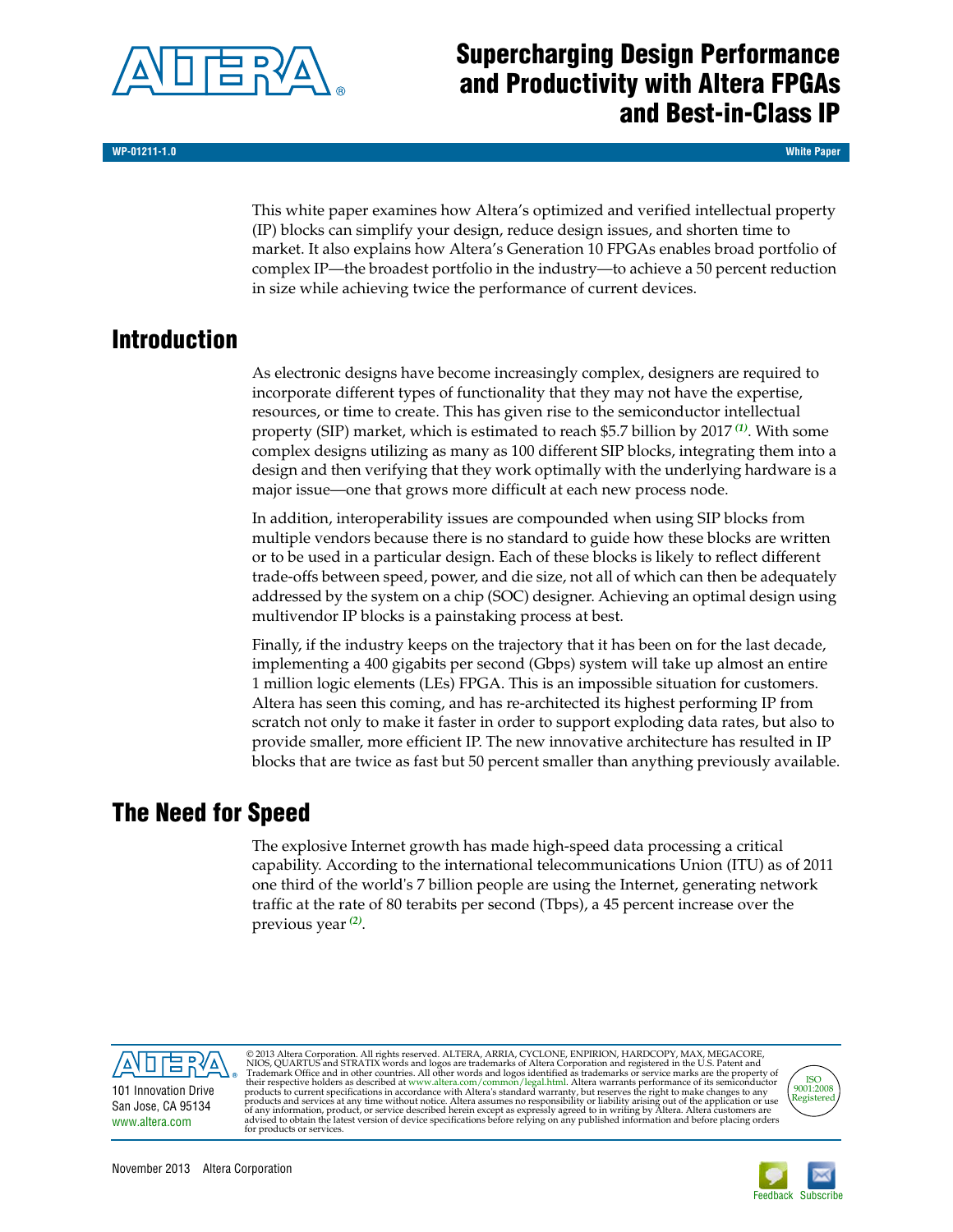

## **Supercharging Design Performance and Productivity with Altera FPGAs and Best-in-Class IP**

**WP-01211-1.0 White Paper**

This white paper examines how Altera's optimized and verified intellectual property (IP) blocks can simplify your design, reduce design issues, and shorten time to market. It also explains how Altera's Generation 10 FPGAs enables broad portfolio of complex IP—the broadest portfolio in the industry—to achieve a 50 percent reduction in size while achieving twice the performance of current devices.

## **Introduction**

As electronic designs have become increasingly complex, designers are required to incorporate different types of functionality that they may not have the expertise, resources, or time to create. This has given rise to the semiconductor intellectual property (SIP) market, which is estimated to reach \$5.7 billion by 2017 *[\(1\)](#page-6-0)*. With some complex designs utilizing as many as 100 different SIP blocks, integrating them into a design and then verifying that they work optimally with the underlying hardware is a major issue—one that grows more difficult at each new process node.

In addition, interoperability issues are compounded when using SIP blocks from multiple vendors because there is no standard to guide how these blocks are written or to be used in a particular design. Each of these blocks is likely to reflect different trade-offs between speed, power, and die size, not all of which can then be adequately addressed by the system on a chip (SOC) designer. Achieving an optimal design using multivendor IP blocks is a painstaking process at best.

Finally, if the industry keeps on the trajectory that it has been on for the last decade, implementing a 400 gigabits per second (Gbps) system will take up almost an entire 1 million logic elements (LEs) FPGA. This is an impossible situation for customers. Altera has seen this coming, and has re-architected its highest performing IP from scratch not only to make it faster in order to support exploding data rates, but also to provide smaller, more efficient IP. The new innovative architecture has resulted in IP blocks that are twice as fast but 50 percent smaller than anything previously available.

## **The Need for Speed**

The explosive Internet growth has made high-speed data processing a critical capability. According to the international telecommunications Union (ITU) as of 2011 one third of the world's 7 billion people are using the Internet, generating network traffic at the rate of 80 terabits per second (Tbps), a 45 percent increase over the previous year*[\(2\)](#page-6-1)*.



© 2013 Altera Corporation. All rights reserved. ALTERA, ARRIA, CYCLONE, ENPIRION, HARDCOPY, MAX, MEGACORE, NIOS, QUARTUS and STRATIX words and logos are trademarks of Altera Corporation and registered in the U.S. Patent a



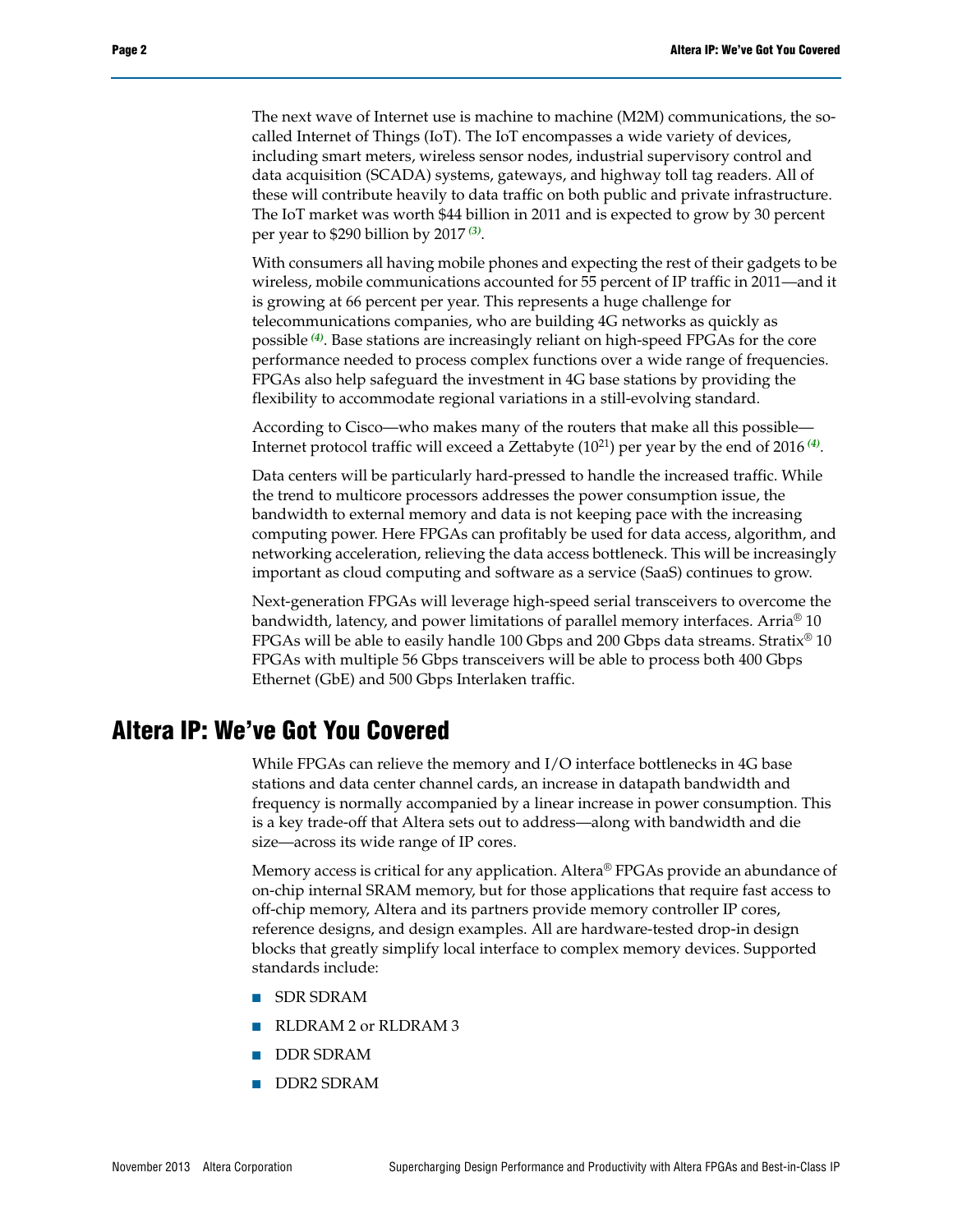The next wave of Internet use is machine to machine (M2M) communications, the socalled Internet of Things (IoT). The IoT encompasses a wide variety of devices, including smart meters, wireless sensor nodes, industrial supervisory control and data acquisition (SCADA) systems, gateways, and highway toll tag readers. All of these will contribute heavily to data traffic on both public and private infrastructure. The IoT market was worth \$44 billion in 2011 and is expected to grow by 30 percent per year to \$290 billion by 2017 *[\(3\)](#page-6-2)*.

With consumers all having mobile phones and expecting the rest of their gadgets to be wireless, mobile communications accounted for 55 percent of IP traffic in 2011—and it is growing at 66 percent per year. This represents a huge challenge for telecommunications companies, who are building 4G networks as quickly as possible *[\(4\)](#page-6-3)*. Base stations are increasingly reliant on high-speed FPGAs for the core performance needed to process complex functions over a wide range of frequencies. FPGAs also help safeguard the investment in 4G base stations by providing the flexibility to accommodate regional variations in a still-evolving standard.

According to Cisco—who makes many of the routers that make all this possible— Internet protocol traffic will exceed a Zettabyte (1021) per year by the end of 2016 *[\(4\)](#page-6-3)*.

Data centers will be particularly hard-pressed to handle the increased traffic. While the trend to multicore processors addresses the power consumption issue, the bandwidth to external memory and data is not keeping pace with the increasing computing power. Here FPGAs can profitably be used for data access, algorithm, and networking acceleration, relieving the data access bottleneck. This will be increasingly important as cloud computing and software as a service (SaaS) continues to grow.

Next-generation FPGAs will leverage high-speed serial transceivers to overcome the bandwidth, latency, and power limitations of parallel memory interfaces. Arria® 10 FPGAs will be able to easily handle 100 Gbps and 200 Gbps data streams. Stratix® 10 FPGAs with multiple 56 Gbps transceivers will be able to process both 400 Gbps Ethernet (GbE) and 500 Gbps Interlaken traffic.

#### **Altera IP: We've Got You Covered**

While FPGAs can relieve the memory and I/O interface bottlenecks in 4G base stations and data center channel cards, an increase in datapath bandwidth and frequency is normally accompanied by a linear increase in power consumption. This is a key trade-off that Altera sets out to address—along with bandwidth and die size—across its wide range of IP cores.

Memory access is critical for any application. Altera® FPGAs provide an abundance of on-chip internal SRAM memory, but for those applications that require fast access to off-chip memory, Altera and its partners provide memory controller IP cores, reference designs, and design examples. All are hardware-tested drop-in design blocks that greatly simplify local interface to complex memory devices. Supported standards include:

- SDR SDRAM
- RLDRAM 2 or RLDRAM 3
- DDR SDRAM
- DDR2 SDRAM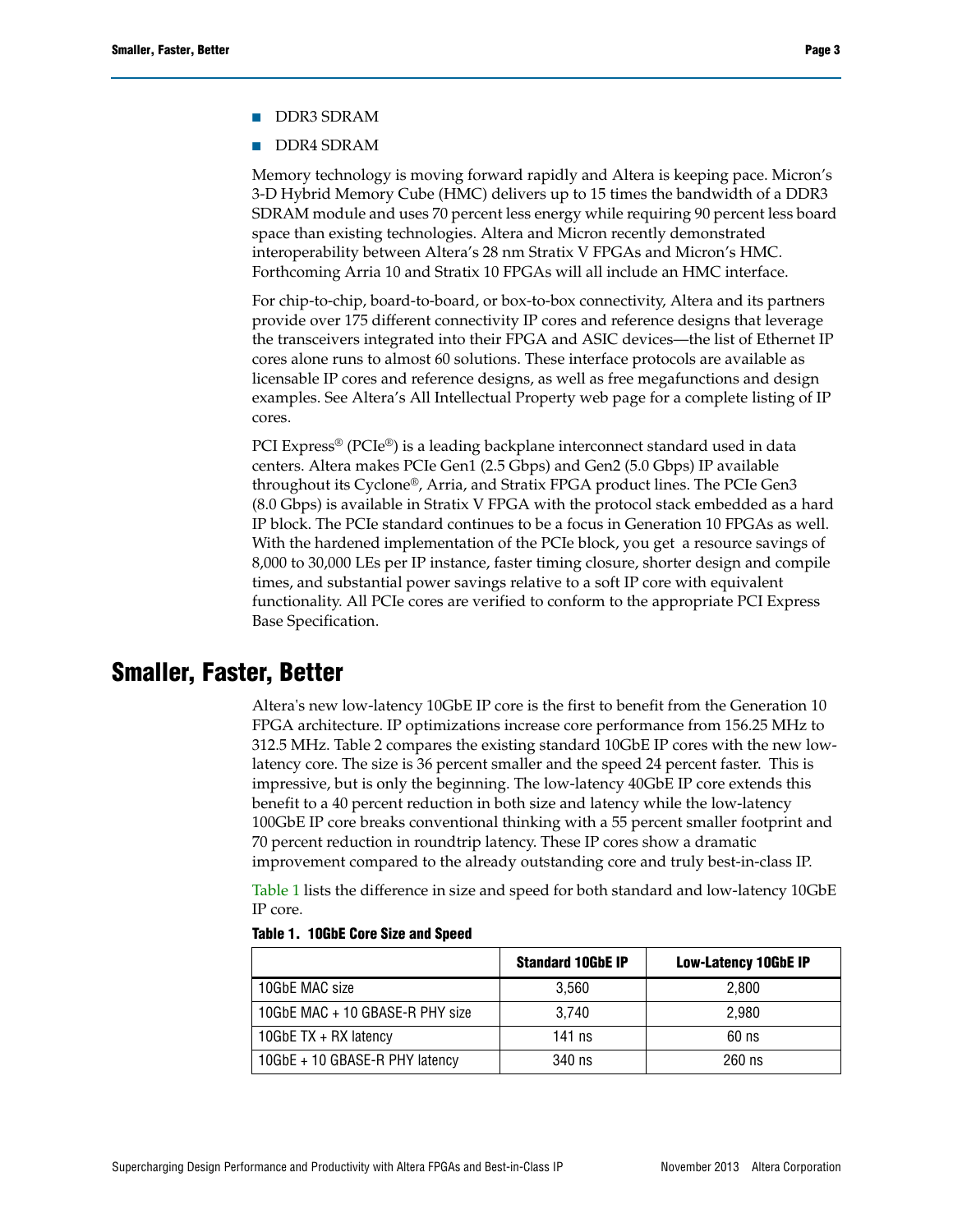- DDR3 SDRAM
- DDR4 SDRAM

Memory technology is moving forward rapidly and Altera is keeping pace. Micron's 3-D Hybrid Memory Cube (HMC) delivers up to 15 times the bandwidth of a DDR3 [SDRAM module and uses 70 percent less energy while requiring 90 percent less board](http://siliconsouthwest.co.uk/index.php/2013/06/global-semiconductor-ip-market-to-be-worth-5-7-billion-by-2017/)  space than existing technologies. Altera and Micron recently demonstrated [interoperability between Altera's 28 nm Stratix V FPGAs and Micron's HMC.](http://siliconsouthwest.co.uk/index.php/2013/06/global-semiconductor-ip-market-to-be-worth-5-7-billion-by-2017/) [Forthcoming Arria 10 and Stratix 10 FPGAs will all include an HMC interface.](http://www.itu.int/en/ITU-D/Statistics/Documents/facts/ICTFactsFigures2011.pdf)

[For chip-to-chip, board-to-board, or box-to-box connectivity, Altera and its partners](http://www.marketsandmarkets.com/Market-Reports/internet-of-things-market-573.html)  [provide over 175 different connectivity IP cores and refer](http://www.marketsandmarkets.com/Market-Reports/internet-of-things-market-573.html)[ence designs that leverage](http://www.cisco.com/en/US/solutions/collateral/ns341/ns525/ns537/ns705/ns827/white_paper_c11-481360_ns827_Networking_Solutions_White_Paper.html)  [the transceivers integrated into their FPGA and ASIC devices—the list of Ethernet IP](http://www.cisco.com/en/US/solutions/collateral/ns341/ns525/ns537/ns705/ns827/white_paper_c11-481360_ns827_Networking_Solutions_White_Paper.html)  cores alone runs to almost 60 solutions. These interface protocols are available as [licensable IP cores and reference designs, as well as free me](http://www.cisco.com/en/US/solutions/collateral/ns341/ns525/ns537/ns705/ns827/white_paper_c11-481360_ns827_Networking_Solutions_White_Paper.html)[gafunctions and design](http://www.altera.com/literature/wp/wp-01200-power-performance-zettabyte-generation-10.pdf)  [examples. See Altera's A](http://www.altera.com/literature/wp/wp-01200-power-performance-zettabyte-generation-10.pdf)[ll Intellectual Property web page for a complete listing of IP](http://www.altera.com/products/ip/ip-index.jsp)  [cores.](http://www.altera.com/products/ip/ip-index.jsp)

PCI Express® (PCIe®[\) is a leading backplane interconnect standard used in data](http://www.altera.com/literature/wp/wp-01201-fpga-tri-gate-technology.pdf)  [centers. Altera makes PCIe Gen1 \(2.5 Gbps\) and Gen2 \(5.0 Gbps\) IP available](http://www.altera.com/literature/wp/wp-01201-fpga-tri-gate-technology.pdf)  [throughout its Cyclone®](http://www.altera.com/literature/wp/wp-01201-fpga-tri-gate-technology.pdf)[, Arria, and Stratix FPGA product lines. The PCIe Gen3](http://www.altera.com/literature/wp/wp-01199-next-generation-FPGAs.pdf)  [\(8.0 Gbps\) is available in Stratix V FPGA with the protocol stack embe](http://www.altera.com/literature/wp/wp-01199-next-generation-FPGAs.pdf)[dded as a hard](file:///C:\Users\jhussain\AppData\Local\Microsoft\Windows\Temporary Internet Files\Content.Outlook\GWP1CBPQ\www.altera.com\technology\system-tech\next-gen-technologies.html)  IP block. The PCIe standard continues to be a focus in Generation 10 FPGAs as well. With the hardened implementation of the PCIe block, you get a resource savings of [8,000 to 30,000 LEs per IP instance, faster timing closure, shorter design and compile](file:///C:\Users\jhussain\AppData\Local\Microsoft\Windows\Temporary Internet Files\Content.Outlook\GWP1CBPQ\www.altera.com\technology\system-tech\next-gen-technologies.html)  times, and substantial power savings relative to a soft IP core with equivalent functionality. All PCIe cores are verified to conform to the appropriate PCI Express Base Specification.

## **Smaller, Faster, Better**

Altera's new low-latency 10GbE IP core is the first to benefit from the Generation 10 FPGA architecture. IP optimizations increase core performance from 156.25 MHz to 312.5 MHz. Table 2 compares the existing standard 10GbE IP cores with the new lowlatency core. The size is 36 percent smaller and the speed 24 percent faster. This is impressive, but is only the beginning. The low-latency 40GbE IP core extends this benefit to a 40 percent reduction in both size and latency while the low-latency 100GbE IP core breaks conventional thinking with a 55 percent smaller footprint and 70 percent reduction in roundtrip latency. These IP cores show a dramatic improvement compared to the already outstanding core and truly best-in-class IP.

[Table 1](#page-2-0) lists the difference in size and speed for both standard and low-latency 10GbE IP core.

|                                 | <b>Standard 10GbE IP</b> | <b>Low-Latency 10GbE IP</b> |
|---------------------------------|--------------------------|-----------------------------|
| 10GbE MAC size                  | 3.560                    | 2.800                       |
| 10GbE MAC + 10 GBASE-R PHY size | 3.740                    | 2.980                       |
| 10GbE TX + RX latency           | 141 $ns$                 | $60$ ns                     |
| 10GbE + 10 GBASE-R PHY latency  | 340 ns                   | $260$ ns                    |

<span id="page-2-0"></span>

|  | Table 1. 10GbE Core Size and Speed |  |  |  |
|--|------------------------------------|--|--|--|
|  |                                    |  |  |  |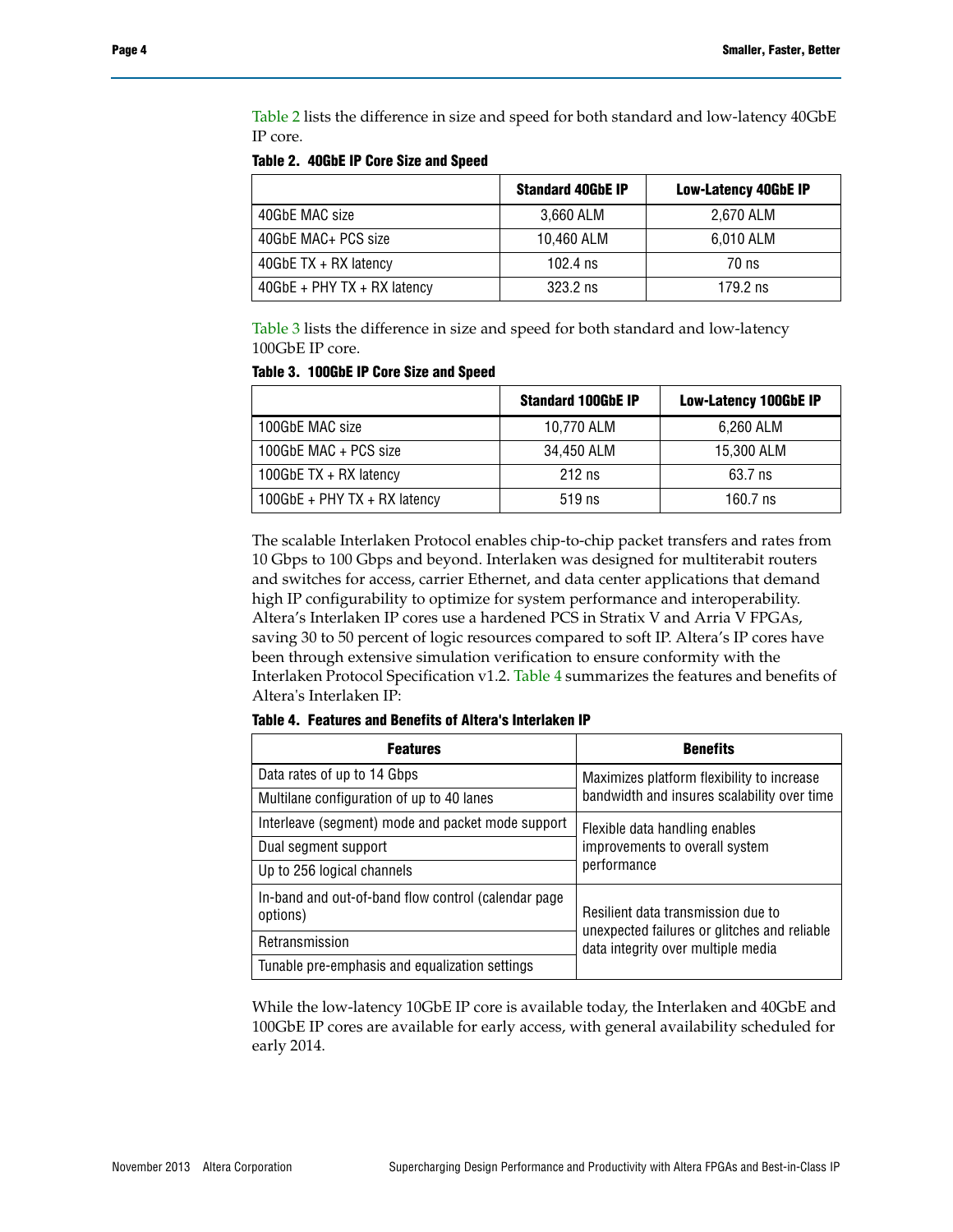[Table 2](#page-3-0) lists the difference in size and speed for both standard and low-latency 40GbE IP core.

<span id="page-3-0"></span>**Table 2. 40GbE IP Core Size and Speed**

|                              | <b>Standard 40GbE IP</b> | <b>Low-Latency 40GbE IP</b> |
|------------------------------|--------------------------|-----------------------------|
| 40GbE MAC size               | 3,660 ALM                | 2.670 ALM                   |
| 40GbE MAC+ PCS size          | 10,460 ALM               | 6,010 ALM                   |
| 40GbE $TX + RX$ latency      | 102.4 $ns$               | 70 ns                       |
| $40GbE + PHYTX + RX$ latency | $323.2$ ns               | $179.2$ ns                  |

[Table 3](#page-3-1) lists the difference in size and speed for both standard and low-latency 100GbE IP core.

<span id="page-3-1"></span>

| Table 3. 100GbE IP Core Size and Speed |  |  |  |  |  |
|----------------------------------------|--|--|--|--|--|
|----------------------------------------|--|--|--|--|--|

|                               | <b>Standard 100GbE IP</b> | <b>Low-Latency 100GbE IP</b> |
|-------------------------------|---------------------------|------------------------------|
| 100GbE MAC size               | 10,770 ALM                | 6,260 ALM                    |
| 100GbE MAC + PCS size         | 34.450 ALM                | 15,300 ALM                   |
| 100GbE $TX + RX$ latency      | $212$ ns                  | 63.7 ns                      |
| $100GbE + PHYTX + RX$ latency | $519$ ns                  | 160.7 ns                     |

The scalable Interlaken Protocol enables chip-to-chip packet transfers and rates from 10 Gbps to 100 Gbps and beyond. Interlaken was designed for multiterabit routers and switches for access, carrier Ethernet, and data center applications that demand high IP configurability to optimize for system performance and interoperability. Altera's Interlaken IP cores use a hardened PCS in Stratix V and Arria V FPGAs, saving 30 to 50 percent of logic resources compared to soft IP. Altera's IP cores have been through extensive simulation verification to ensure conformity with the Interlaken Protocol Specification v1.2. [Table 4](#page-3-2) summarizes the features and benefits of Altera's Interlaken IP:

<span id="page-3-2"></span>**Table 4. Features and Benefits of Altera's Interlaken IP**

| <b>Features</b>                                                  | <b>Benefits</b>                                                                                                          |  |  |
|------------------------------------------------------------------|--------------------------------------------------------------------------------------------------------------------------|--|--|
| Data rates of up to 14 Gbps                                      | Maximizes platform flexibility to increase                                                                               |  |  |
| Multilane configuration of up to 40 lanes                        | bandwidth and insures scalability over time                                                                              |  |  |
| Interleave (segment) mode and packet mode support                | Flexible data handling enables<br>improvements to overall system                                                         |  |  |
| Dual segment support                                             |                                                                                                                          |  |  |
| Up to 256 logical channels                                       | performance                                                                                                              |  |  |
| In-band and out-of-band flow control (calendar page)<br>options) | Resilient data transmission due to<br>unexpected failures or glitches and reliable<br>data integrity over multiple media |  |  |
| Retransmission                                                   |                                                                                                                          |  |  |
| Tunable pre-emphasis and equalization settings                   |                                                                                                                          |  |  |

While the low-latency 10GbE IP core is available today, the Interlaken and 40GbE and 100GbE IP cores are available for early access, with general availability scheduled for early 2014.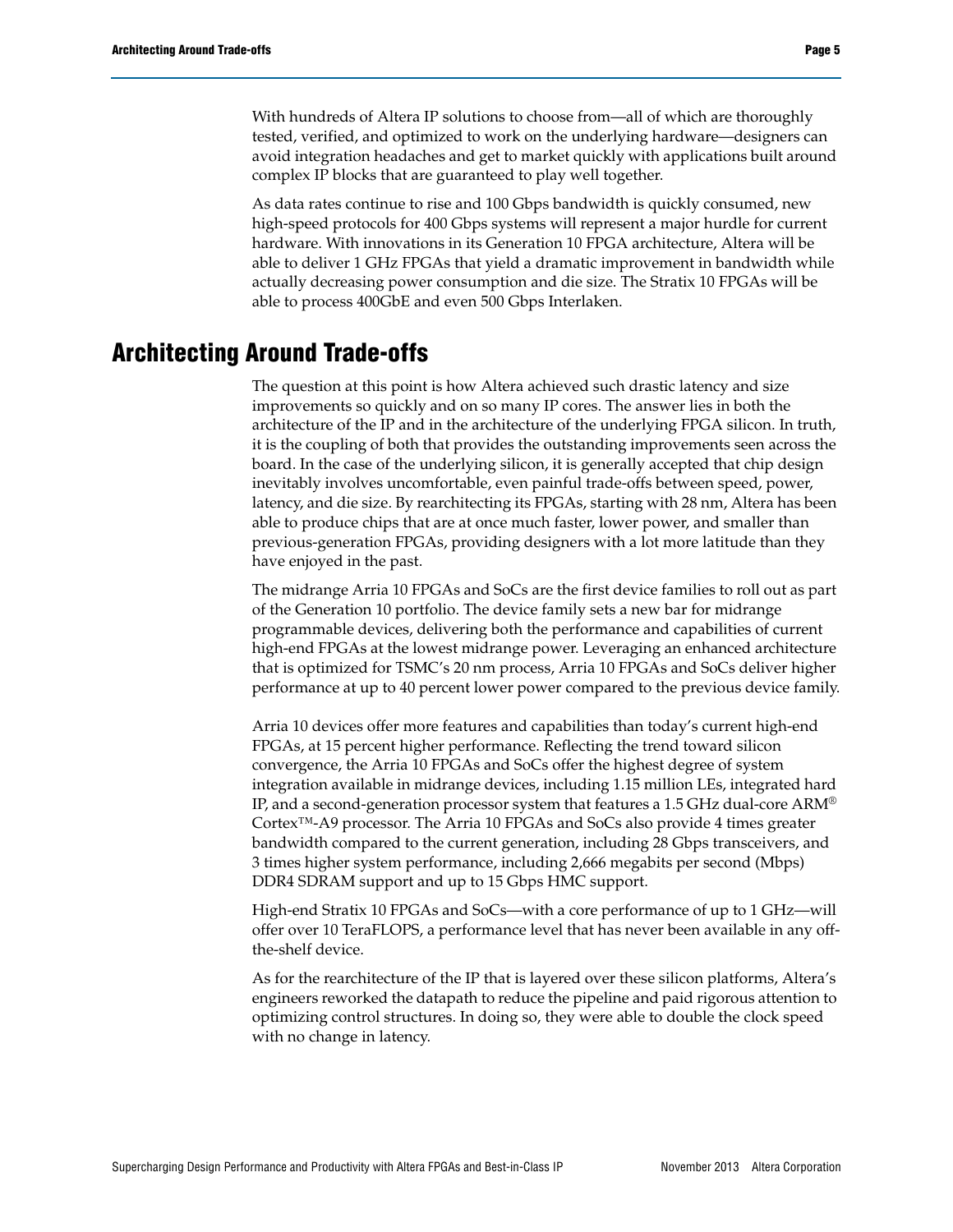With hundreds of Altera IP solutions to choose from—all of which are thoroughly tested, verified, and optimized to work on the underlying hardware—designers can avoid integration headaches and get to market quickly with applications built around complex IP blocks that are guaranteed to play well together.

As data rates continue to rise and 100 Gbps bandwidth is quickly consumed, new high-speed protocols for 400 Gbps systems will represent a major hurdle for current hardware. With innovations in its Generation 10 FPGA architecture, Altera will be able to deliver 1 GHz FPGAs that yield a dramatic improvement in bandwidth while actually decreasing power consumption and die size. The Stratix 10 FPGAs will be able to process 400GbE and even 500 Gbps Interlaken.

# **Architecting Around Trade-offs**

The question at this point is how Altera achieved such drastic latency and size improvements so quickly and on so many IP cores. The answer lies in both the architecture of the IP and in the architecture of the underlying FPGA silicon. In truth, it is the coupling of both that provides the outstanding improvements seen across the board. In the case of the underlying silicon, it is generally accepted that chip design inevitably involves uncomfortable, even painful trade-offs between speed, power, latency, and die size. By rearchitecting its FPGAs, starting with 28 nm, Altera has been able to produce chips that are at once much faster, lower power, and smaller than previous-generation FPGAs, providing designers with a lot more latitude than they have enjoyed in the past.

The midrange Arria 10 FPGAs and SoCs are the first device families to roll out as part of the Generation 10 portfolio. The device family sets a new bar for midrange programmable devices, delivering both the performance and capabilities of current high-end FPGAs at the lowest midrange power. Leveraging an enhanced architecture that is optimized for TSMC's 20 nm process, Arria 10 FPGAs and SoCs deliver higher performance at up to 40 percent lower power compared to the previous device family.

Arria 10 devices offer more features and capabilities than today's current high-end FPGAs, at 15 percent higher performance. Reflecting the trend toward silicon convergence, the Arria 10 FPGAs and SoCs offer the highest degree of system integration available in midrange devices, including 1.15 million LEs, integrated hard IP, and a second-generation processor system that features a 1.5 GHz dual-core ARM® Cortex™-A9 processor. The Arria 10 FPGAs and SoCs also provide 4 times greater bandwidth compared to the current generation, including 28 Gbps transceivers, and 3 times higher system performance, including 2,666 megabits per second (Mbps) DDR4 SDRAM support and up to 15 Gbps HMC support.

High-end Stratix 10 FPGAs and SoCs—with a core performance of up to 1 GHz—will offer over 10 TeraFLOPS, a performance level that has never been available in any offthe-shelf device.

As for the rearchitecture of the IP that is layered over these silicon platforms, Altera's engineers reworked the datapath to reduce the pipeline and paid rigorous attention to optimizing control structures. In doing so, they were able to double the clock speed with no change in latency.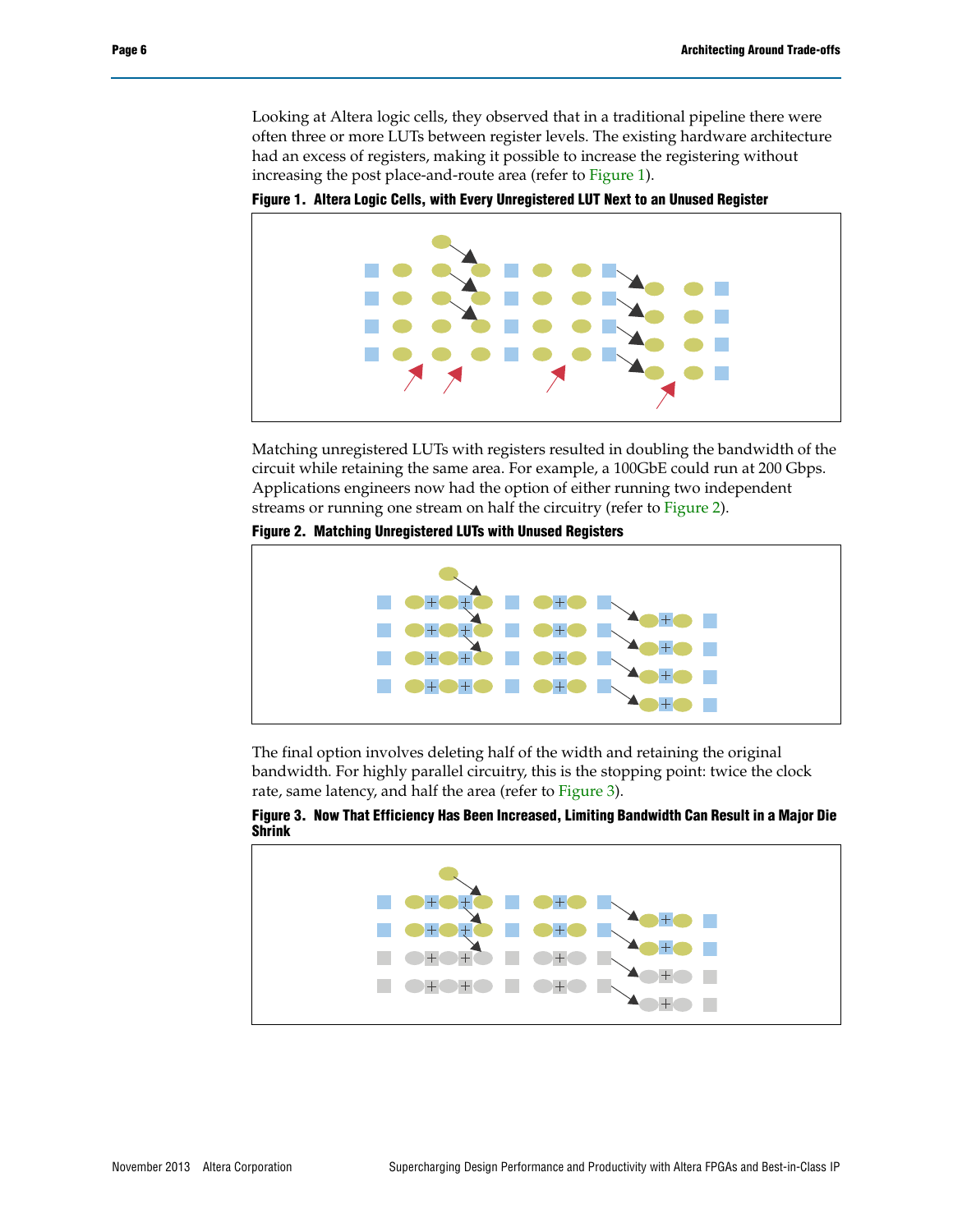Looking at Altera logic cells, they observed that in a traditional pipeline there were often three or more LUTs between register levels. The existing hardware architecture had an excess of registers, making it possible to increase the registering without increasing the post place-and-route area (refer to [Figure 1\)](#page-5-0).

<span id="page-5-0"></span>**Figure 1. Altera Logic Cells, with Every Unregistered LUT Next to an Unused Register**



Matching unregistered LUTs with registers resulted in doubling the bandwidth of the circuit while retaining the same area. For example, a 100GbE could run at 200 Gbps. Applications engineers now had the option of either running two independent streams or running one stream on half the circuitry (refer to [Figure 2\)](#page-5-1).

<span id="page-5-1"></span>**Figure 2. Matching Unregistered LUTs with Unused Registers**



The final option involves deleting half of the width and retaining the original bandwidth. For highly parallel circuitry, this is the stopping point: twice the clock rate, same latency, and half the area (refer to [Figure 3](#page-5-2)).



<span id="page-5-2"></span>**Figure 3. Now That Efficiency Has Been Increased, Limiting Bandwidth Can Result in a Major Die Shrink**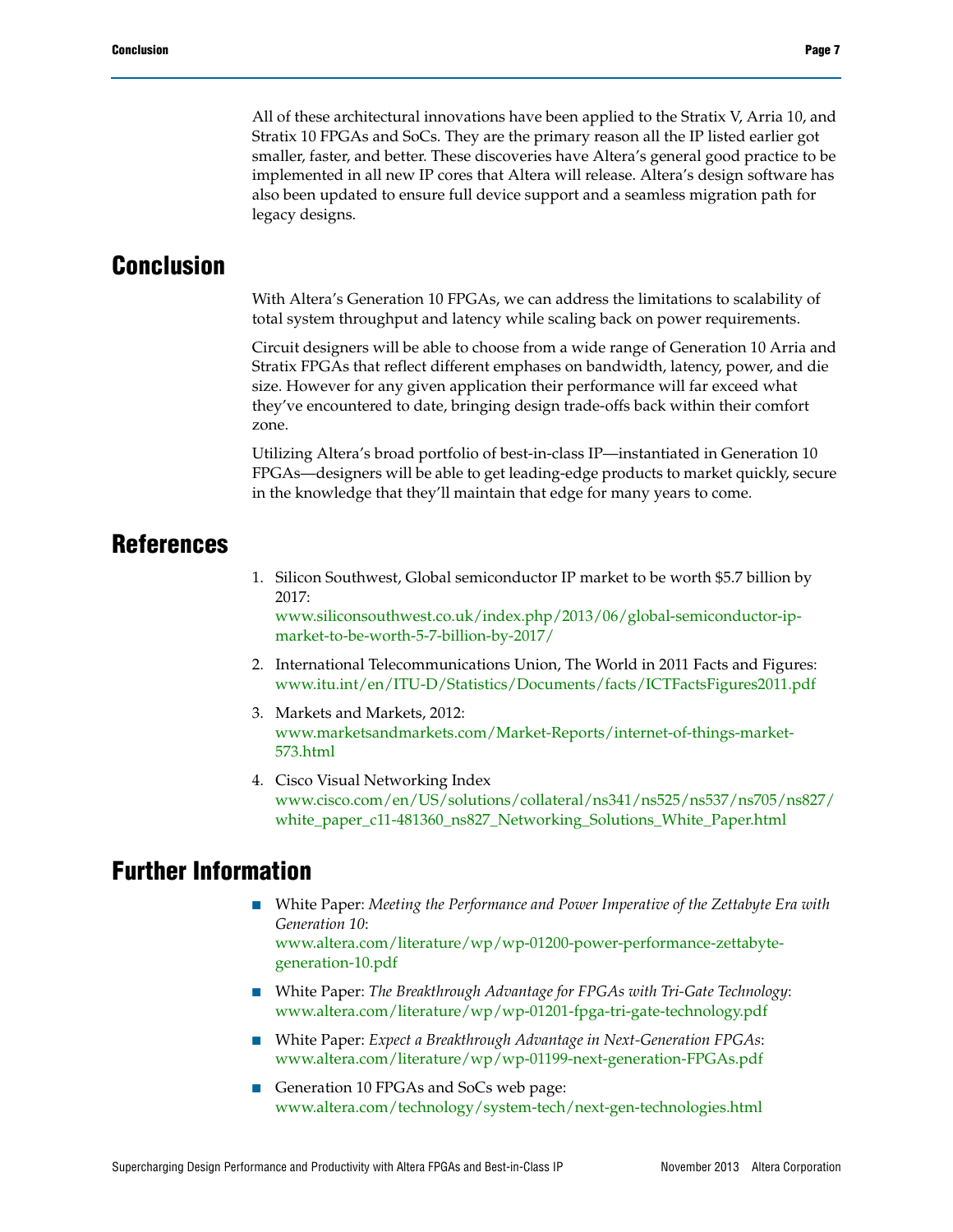All of these architectural innovations have been applied to the Stratix V, Arria 10, and Stratix 10 FPGAs and SoCs. They are the primary reason all the IP listed earlier got smaller, faster, and better. These discoveries have Altera's general good practice to be implemented in all new IP cores that Altera will release. Altera's design software has also been updated to ensure full device support and a seamless migration path for legacy designs.

#### **Conclusion**

With Altera's Generation 10 FPGAs, we can address the limitations to scalability of total system throughput and latency while scaling back on power requirements.

Circuit designers will be able to choose from a wide range of Generation 10 Arria and Stratix FPGAs that reflect different emphases on bandwidth, latency, power, and die size. However for any given application their performance will far exceed what they've encountered to date, bringing design trade-offs back within their comfort zone.

Utilizing Altera's broad portfolio of best-in-class IP—instantiated in Generation 10 FPGAs—designers will be able to get leading-edge products to market quickly, secure in the knowledge that they'll maintain that edge for many years to come.

#### **References**

<span id="page-6-0"></span>1. [Silicon Southwest, Global semiconductor IP market to be worth \\$5.7 billion by](http://siliconsouthwest.co.uk/index.php/2013/06/global-semiconductor-ip-market-to-be-worth-5-7-billion-by-2017/)  [2017:](http://siliconsouthwest.co.uk/index.php/2013/06/global-semiconductor-ip-market-to-be-worth-5-7-billion-by-2017/)

www.siliconsouthwest.co.uk/index.php/2013/06/global-semiconductor-ipmarket-to-be-worth-5-7-billion-by-2017/

- <span id="page-6-1"></span>2. International Telecommunications Union, The World in 2011 Facts and Figures: [www.itu.int/en/ITU-D/Statistics/Documents/facts/ICTFactsFigures2011.pdf](http://www.itu.int/en/ITU-D/Statistics/Documents/facts/ICTFactsFigures2011.pdf)
- <span id="page-6-2"></span>3. Markets and Markets, 2012: [www.marketsandmarkets.com/Market-Reports/internet-of-things-market-](http://www.marketsandmarkets.com/Market-Reports/internet-of-things-market-573.html)[573.html](http://www.marketsandmarkets.com/Market-Reports/internet-of-things-market-573.html)
- <span id="page-6-3"></span>4. Cisco Visual Networking Index [www.cisco.com/en/US/solutions/collateral/ns341/ns525/ns537/ns705/ns827/](www.cisco.com/en/US/solutions/collateral/ns341/ns525/ns537/ns705/ns827/white_paper_c11-481360_ns827_Networking_Solutions_White_Paper.html) [white\\_paper\\_c11-481360\\_ns827\\_Networking\\_Solutions\\_White\\_Paper.html](www.cisco.com/en/US/solutions/collateral/ns341/ns525/ns537/ns705/ns827/white_paper_c11-481360_ns827_Networking_Solutions_White_Paper.html)

## **Further Information**

- White Paper: *Meeting the Performance and Power Imperative of the Zettabyte Era with Generation 10*: [www.altera.com/literature/wp/wp-01200-power-performance-zettabyte](http://www.altera.com/literature/wp/wp-01200-power-performance-zettabyte-generation-10.pdf)[generation-10.pdf](http://www.altera.com/literature/wp/wp-01200-power-performance-zettabyte-generation-10.pdf)
- White Paper: *The Breakthrough Advantage for FPGAs with Tri-Gate Technology*: [www.altera.com/literature/wp/wp-01201-fpga-tri-gate-technology.pdf](http://www.altera.com/literature/wp/wp-01201-fpga-tri-gate-technology.pdf)
- White Paper: *Expect a Breakthrough Advantage in Next-Generation FPGAs*: [www.altera.com/literature/wp/wp-01199-next-generation-FPGAs.pdf](http://www.altera.com/literature/wp/wp-01199-next-generation-FPGAs.pdf)
- [Generation 10 FPGAs and SoCs web page:](http://www.altera.com/technology/system-tech/next-gen-technologies.html) www.altera.com/technology/system-tech/next-gen-technologies.html